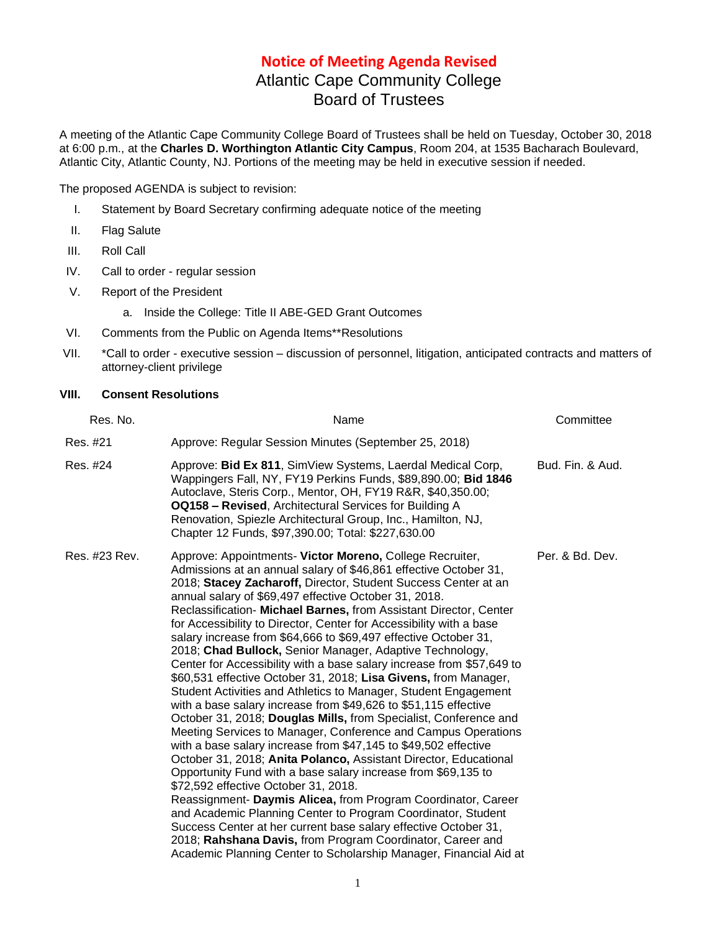## **Notice of Meeting Agenda Revised**

## Atlantic Cape Community College Board of Trustees

A meeting of the Atlantic Cape Community College Board of Trustees shall be held on Tuesday, October 30, 2018 at 6:00 p.m., at the **Charles D. Worthington Atlantic City Campus**, Room 204, at 1535 Bacharach Boulevard, Atlantic City, Atlantic County, NJ. Portions of the meeting may be held in executive session if needed.

The proposed AGENDA is subject to revision:

- I. Statement by Board Secretary confirming adequate notice of the meeting
- II. Flag Salute
- III. Roll Call
- IV. Call to order regular session
- V. Report of the President

a. Inside the College: Title II ABE-GED Grant Outcomes

- VI. Comments from the Public on Agenda Items\*\*Resolutions
- VII. \*Call to order executive session discussion of personnel, litigation, anticipated contracts and matters of attorney-client privilege

## **VIII. Consent Resolutions**

| Res. No.      | Name                                                                                                                                                                                                                                                                                                                                                                                                                                                                                                                                                                                                                                                                                                                                                                                                                                                                                                                                                                                                                                                                                                                                                                                                                                                                                                                                                                                                                                                                                                                                             | Committee        |
|---------------|--------------------------------------------------------------------------------------------------------------------------------------------------------------------------------------------------------------------------------------------------------------------------------------------------------------------------------------------------------------------------------------------------------------------------------------------------------------------------------------------------------------------------------------------------------------------------------------------------------------------------------------------------------------------------------------------------------------------------------------------------------------------------------------------------------------------------------------------------------------------------------------------------------------------------------------------------------------------------------------------------------------------------------------------------------------------------------------------------------------------------------------------------------------------------------------------------------------------------------------------------------------------------------------------------------------------------------------------------------------------------------------------------------------------------------------------------------------------------------------------------------------------------------------------------|------------------|
| Res. #21      | Approve: Regular Session Minutes (September 25, 2018)                                                                                                                                                                                                                                                                                                                                                                                                                                                                                                                                                                                                                                                                                                                                                                                                                                                                                                                                                                                                                                                                                                                                                                                                                                                                                                                                                                                                                                                                                            |                  |
| Res. #24      | Approve: Bid Ex 811, SimView Systems, Laerdal Medical Corp,<br>Wappingers Fall, NY, FY19 Perkins Funds, \$89,890.00; Bid 1846<br>Autoclave, Steris Corp., Mentor, OH, FY19 R&R, \$40,350.00;<br><b>OQ158 - Revised, Architectural Services for Building A</b><br>Renovation, Spiezle Architectural Group, Inc., Hamilton, NJ,<br>Chapter 12 Funds, \$97,390.00; Total: \$227,630.00                                                                                                                                                                                                                                                                                                                                                                                                                                                                                                                                                                                                                                                                                                                                                                                                                                                                                                                                                                                                                                                                                                                                                              | Bud. Fin. & Aud. |
| Res. #23 Rev. | Approve: Appointments- Victor Moreno, College Recruiter,<br>Admissions at an annual salary of \$46,861 effective October 31,<br>2018; Stacey Zacharoff, Director, Student Success Center at an<br>annual salary of \$69,497 effective October 31, 2018.<br>Reclassification- Michael Barnes, from Assistant Director, Center<br>for Accessibility to Director, Center for Accessibility with a base<br>salary increase from \$64,666 to \$69,497 effective October 31,<br>2018; Chad Bullock, Senior Manager, Adaptive Technology,<br>Center for Accessibility with a base salary increase from \$57,649 to<br>\$60,531 effective October 31, 2018; Lisa Givens, from Manager,<br>Student Activities and Athletics to Manager, Student Engagement<br>with a base salary increase from \$49,626 to \$51,115 effective<br>October 31, 2018; Douglas Mills, from Specialist, Conference and<br>Meeting Services to Manager, Conference and Campus Operations<br>with a base salary increase from \$47,145 to \$49,502 effective<br>October 31, 2018; Anita Polanco, Assistant Director, Educational<br>Opportunity Fund with a base salary increase from \$69,135 to<br>\$72,592 effective October 31, 2018.<br>Reassignment- Daymis Alicea, from Program Coordinator, Career<br>and Academic Planning Center to Program Coordinator, Student<br>Success Center at her current base salary effective October 31,<br>2018; Rahshana Davis, from Program Coordinator, Career and<br>Academic Planning Center to Scholarship Manager, Financial Aid at | Per. & Bd. Dev.  |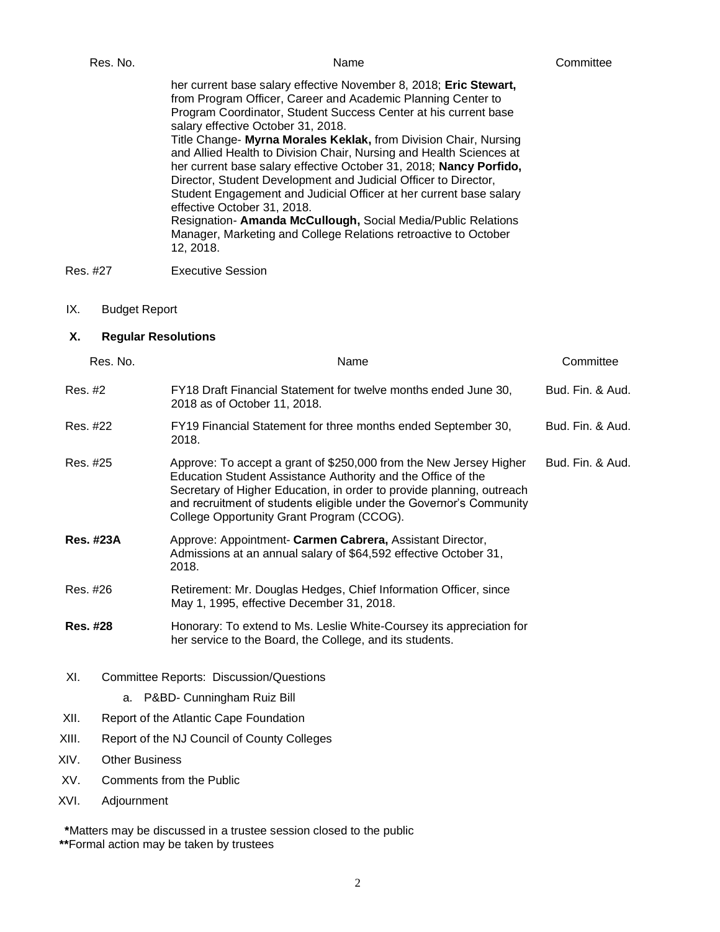|                                  | Res. No.             | Name                                                                                                                                                                                                                                                                                                                                                                                                                                                                                                                                                                                                                                                                                                                                                                                 | Committee        |
|----------------------------------|----------------------|--------------------------------------------------------------------------------------------------------------------------------------------------------------------------------------------------------------------------------------------------------------------------------------------------------------------------------------------------------------------------------------------------------------------------------------------------------------------------------------------------------------------------------------------------------------------------------------------------------------------------------------------------------------------------------------------------------------------------------------------------------------------------------------|------------------|
|                                  |                      | her current base salary effective November 8, 2018; Eric Stewart,<br>from Program Officer, Career and Academic Planning Center to<br>Program Coordinator, Student Success Center at his current base<br>salary effective October 31, 2018.<br>Title Change- Myrna Morales Keklak, from Division Chair, Nursing<br>and Allied Health to Division Chair, Nursing and Health Sciences at<br>her current base salary effective October 31, 2018; Nancy Porfido,<br>Director, Student Development and Judicial Officer to Director,<br>Student Engagement and Judicial Officer at her current base salary<br>effective October 31, 2018.<br>Resignation- Amanda McCullough, Social Media/Public Relations<br>Manager, Marketing and College Relations retroactive to October<br>12, 2018. |                  |
| Res. #27                         |                      | <b>Executive Session</b>                                                                                                                                                                                                                                                                                                                                                                                                                                                                                                                                                                                                                                                                                                                                                             |                  |
| IX.                              | <b>Budget Report</b> |                                                                                                                                                                                                                                                                                                                                                                                                                                                                                                                                                                                                                                                                                                                                                                                      |                  |
| <b>Regular Resolutions</b><br>Х. |                      |                                                                                                                                                                                                                                                                                                                                                                                                                                                                                                                                                                                                                                                                                                                                                                                      |                  |
|                                  | Res. No.             | Name                                                                                                                                                                                                                                                                                                                                                                                                                                                                                                                                                                                                                                                                                                                                                                                 | Committee        |
| Res. #2                          |                      | FY18 Draft Financial Statement for twelve months ended June 30,<br>2018 as of October 11, 2018.                                                                                                                                                                                                                                                                                                                                                                                                                                                                                                                                                                                                                                                                                      | Bud. Fin. & Aud. |
| Res. #22                         |                      | FY19 Financial Statement for three months ended September 30,<br>2018.                                                                                                                                                                                                                                                                                                                                                                                                                                                                                                                                                                                                                                                                                                               | Bud. Fin. & Aud. |
| Res. #25                         |                      | Approve: To accept a grant of \$250,000 from the New Jersey Higher<br>Education Student Assistance Authority and the Office of the<br>Secretary of Higher Education, in order to provide planning, outreach<br>and recruitment of students eligible under the Governor's Community<br>College Opportunity Grant Program (CCOG).                                                                                                                                                                                                                                                                                                                                                                                                                                                      | Bud. Fin. & Aud. |

| <b>Res. #23A</b> | Approve: Appointment- Carmen Cabrera, Assistant Director,        |
|------------------|------------------------------------------------------------------|
|                  | Admissions at an annual salary of \$64,592 effective October 31, |
|                  | 2018.                                                            |

- Res. #26 Retirement: Mr. Douglas Hedges, Chief Information Officer, since May 1, 1995, effective December 31, 2018.
- **Res. #28** Honorary: To extend to Ms. Leslie White-Coursey its appreciation for her service to the Board, the College, and its students.
- XI. Committee Reports: Discussion/Questions
	- a. P&BD- Cunningham Ruiz Bill
- XII. Report of the Atlantic Cape Foundation
- XIII. Report of the NJ Council of County Colleges
- XIV. Other Business
- XV. Comments from the Public
- XVI. Adjournment

**\***Matters may be discussed in a trustee session closed to the public

**\*\***Formal action may be taken by trustees